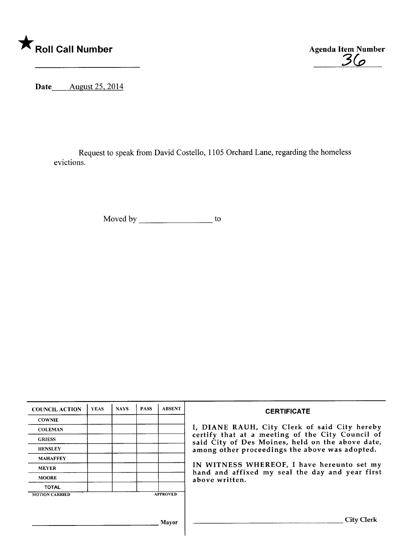

3&

Date August 25, 2014

Request to speak from David Costello, 1105 Orchard Lane, regarding the homeless evictions.

Moved by \_\_\_\_\_\_\_\_\_\_\_\_\_\_\_\_\_\_\_\_\_ to

| <b>COUNCIL ACTION</b> | <b>YEAS</b> | <b>NAYS</b> | <b>PASS</b> | <b>ABSENT</b>   | <b>CERTIFICATE</b>                                                                                                                                                                                                                                                        |  |  |  |
|-----------------------|-------------|-------------|-------------|-----------------|---------------------------------------------------------------------------------------------------------------------------------------------------------------------------------------------------------------------------------------------------------------------------|--|--|--|
| <b>COWNIE</b>         |             |             |             |                 |                                                                                                                                                                                                                                                                           |  |  |  |
| <b>COLEMAN</b>        |             |             |             |                 | I, DIANE RAUH, City Clerk of said City hereby                                                                                                                                                                                                                             |  |  |  |
| <b>GRIESS</b>         |             |             |             |                 | certify that at a meeting of the City Council of<br>said City of Des Moines, held on the above date,<br>among other proceedings the above was adopted.<br>IN WITNESS WHEREOF, I have hereunto set my<br>hand and affixed my seal the day and year first<br>above written. |  |  |  |
| <b>HENSLEY</b>        |             |             |             |                 |                                                                                                                                                                                                                                                                           |  |  |  |
| <b>MAHAFFEY</b>       |             |             |             |                 |                                                                                                                                                                                                                                                                           |  |  |  |
| <b>MEYER</b>          |             |             |             |                 |                                                                                                                                                                                                                                                                           |  |  |  |
| <b>MOORE</b>          |             |             |             |                 |                                                                                                                                                                                                                                                                           |  |  |  |
| <b>TOTAL</b>          |             |             |             |                 |                                                                                                                                                                                                                                                                           |  |  |  |
| <b>MOTION CARRIED</b> |             |             |             | <b>APPROVED</b> |                                                                                                                                                                                                                                                                           |  |  |  |
|                       |             |             |             |                 |                                                                                                                                                                                                                                                                           |  |  |  |
| Mavor                 |             |             |             |                 | City Clerk                                                                                                                                                                                                                                                                |  |  |  |